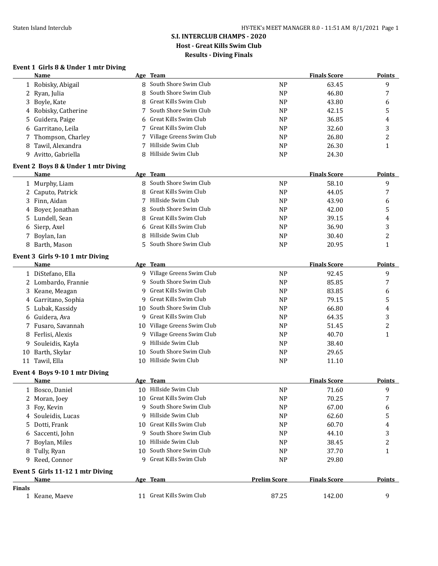# **S.I. INTERCLUB CHAMPS - 2020 Host - Great Kills Swim Club Results - Diving Finals**

### **Event 1 Girls 8 & Under 1 mtr Diving**

|               | Name                                    |     | Age Team                                           |                     | <b>Finals Score</b> | <b>Points</b> |
|---------------|-----------------------------------------|-----|----------------------------------------------------|---------------------|---------------------|---------------|
|               | 1 Robisky, Abigail                      |     | 8 South Shore Swim Club                            | <b>NP</b>           | 63.45               | 9             |
|               | 2 Ryan, Julia                           | 8   | South Shore Swim Club                              | <b>NP</b>           | 46.80               | 7             |
|               | 3 Boyle, Kate                           | 8   | Great Kills Swim Club                              | N <sub>P</sub>      | 43.80               | 6             |
| 4             | Robisky, Catherine                      | 7   | South Shore Swim Club                              | N <sub>P</sub>      | 42.15               | 5             |
| 5.            | Guidera, Paige                          | 6   | Great Kills Swim Club                              | <b>NP</b>           | 36.85               | 4             |
| 6             | Garritano, Leila                        | 7   | Great Kills Swim Club                              | N <sub>P</sub>      | 32.60               | 3             |
|               | Thompson, Charley                       |     | Village Greens Swim Club                           | <b>NP</b>           | 26.80               | 2             |
| 8             | Tawil, Alexandra                        | 7   | Hillside Swim Club                                 | <b>NP</b>           | 26.30               | $\mathbf{1}$  |
|               | 9 Avitto, Gabriella                     | 8   | Hillside Swim Club                                 | <b>NP</b>           | 24.30               |               |
|               | Event 2 Boys 8 & Under 1 mtr Diving     |     |                                                    |                     |                     |               |
|               | Name                                    |     | Age Team                                           |                     | <b>Finals Score</b> | <b>Points</b> |
|               | 1 Murphy, Liam                          |     | 8 South Shore Swim Club                            | <b>NP</b>           | 58.10               | 9             |
|               | 2 Caputo, Patrick                       | 8   | Great Kills Swim Club                              | N <sub>P</sub>      | 44.05               | 7             |
|               | 3 Finn, Aidan                           | 7   | Hillside Swim Club                                 | N <sub>P</sub>      | 43.90               | 6             |
| 4             | Boyer, Jonathan                         | 8   | South Shore Swim Club                              | <b>NP</b>           | 42.00               | 5             |
|               | 5 Lundell, Sean                         | 8   | Great Kills Swim Club                              | <b>NP</b>           | 39.15               | 4             |
| 6             | Sierp, Axel                             |     | Great Kills Swim Club                              | <b>NP</b>           | 36.90               | 3             |
|               | 7 Boylan, Ian                           | 8   | Hillside Swim Club                                 | <b>NP</b>           | 30.40               | 2             |
|               | 8 Barth, Mason                          | 5   | South Shore Swim Club                              | <b>NP</b>           | 20.95               | 1             |
|               |                                         |     |                                                    |                     |                     |               |
|               | Event 3 Girls 9-10 1 mtr Diving<br>Name |     | Age Team                                           |                     | <b>Finals Score</b> | <b>Points</b> |
|               | 1 DiStefano, Ella                       |     | 9 Village Greens Swim Club                         | <b>NP</b>           | 92.45               | 9             |
|               | 2 Lombardo, Frannie                     |     | 9 South Shore Swim Club                            | <b>NP</b>           | 85.85               | 7             |
|               |                                         | 9   | Great Kills Swim Club                              | N <sub>P</sub>      | 83.85               |               |
|               | 3 Keane, Meagan                         | 9   | Great Kills Swim Club                              | <b>NP</b>           | 79.15               | 6<br>5        |
|               | 4 Garritano, Sophia                     |     | South Shore Swim Club                              |                     |                     |               |
|               | 5 Lubak, Kassidy                        | 10  | 9 Great Kills Swim Club                            | <b>NP</b>           | 66.80               | 4             |
| 6             | Guidera, Ava                            |     |                                                    | <b>NP</b>           | 64.35               | 3             |
|               | 7 Fusaro, Savannah                      |     | 10 Village Greens Swim Club                        | N <sub>P</sub>      | 51.45               | 2             |
| 8             | Ferlisi, Alexis                         |     | 9 Village Greens Swim Club<br>9 Hillside Swim Club | N <sub>P</sub>      | 40.70               | 1             |
| 9             | Souleidis, Kayla                        |     |                                                    | N <sub>P</sub>      | 38.40               |               |
|               | 10 Barth, Skylar                        | 10  | South Shore Swim Club                              | <b>NP</b>           | 29.65               |               |
|               | 11 Tawil, Ella                          |     | 10 Hillside Swim Club                              | <b>NP</b>           | 11.10               |               |
|               | Event 4 Boys 9-10 1 mtr Diving          |     |                                                    |                     |                     |               |
|               | Name                                    |     | Age Team                                           |                     | <b>Finals Score</b> | <b>Points</b> |
|               | 1 Bosco, Daniel                         |     | 10 Hillside Swim Club                              | <b>NP</b>           | 71.60               | 9             |
|               | 2 Moran, Joey                           |     | 10 Great Kills Swim Club                           | <b>NP</b>           | 70.25               | 7             |
|               | 3 Foy, Kevin                            |     | South Shore Swim Club                              | <b>NP</b>           | 67.00               | 6             |
|               | 4 Souleidis, Lucas                      | 9   | Hillside Swim Club                                 | NP                  | 62.60               | 5             |
|               | 5 Dotti, Frank                          |     | 10 Great Kills Swim Club                           | N <sub>P</sub>      | 60.70               | 4             |
| 6             | Saccenti, John                          | 9   | South Shore Swim Club                              | N <sub>P</sub>      | 44.10               | 3             |
| 7             | Boylan, Miles                           | 10. | Hillside Swim Club                                 | N <sub>P</sub>      | 38.45               | 2             |
|               | 8 Tully, Ryan                           | 10  | South Shore Swim Club                              | <b>NP</b>           | 37.70               | $\mathbf{1}$  |
|               | 9 Reed, Connor                          |     | 9 Great Kills Swim Club                            | <b>NP</b>           | 29.80               |               |
|               | Event 5 Girls 11-12 1 mtr Diving        |     |                                                    |                     |                     |               |
|               | <b>Name</b>                             |     | Age Team                                           | <b>Prelim Score</b> | <b>Finals Score</b> | <b>Points</b> |
| <b>Finals</b> |                                         |     |                                                    |                     |                     |               |
|               | 1 Keane, Maeve                          |     | 11 Great Kills Swim Club                           | 87.25               | 142.00              | 9             |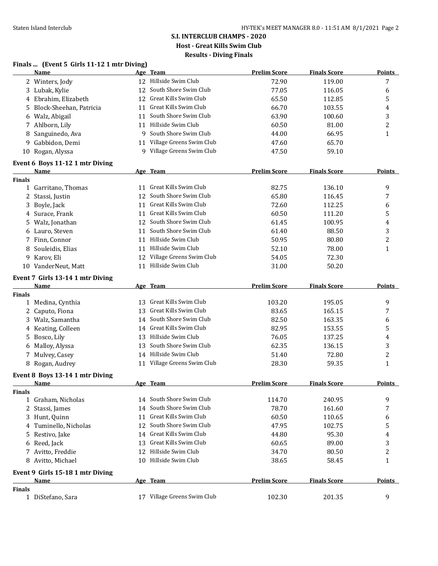### **S.I. INTERCLUB CHAMPS - 2020 Host - Great Kills Swim Club Results - Diving Finals**

#### **Finals ... (Event 5 Girls 11-12 1 mtr Diving)**

|               | <b>Name</b>                      |    | Age Team                                             | <b>Prelim Score</b> | <b>Finals Score</b> | <b>Points</b> |
|---------------|----------------------------------|----|------------------------------------------------------|---------------------|---------------------|---------------|
|               | 2 Winters, Jody                  |    | 12 Hillside Swim Club                                | 72.90               | 119.00              | 7             |
|               | 3 Lubak, Kylie                   | 12 | South Shore Swim Club                                | 77.05               | 116.05              | 6             |
|               | 4 Ebrahim, Elizabeth             | 12 | Great Kills Swim Club                                | 65.50               | 112.85              | 5             |
| 5             | Block-Sheehan, Patricia          | 11 | Great Kills Swim Club                                | 66.70               | 103.55              | 4             |
|               | 6 Walz, Abigail                  | 11 | South Shore Swim Club                                | 63.90               | 100.60              | 3             |
|               | 7 Ahlborn, Lily                  | 11 | Hillside Swim Club                                   | 60.50               | 81.00               | 2             |
| 8             | Sanguinedo, Ava                  | 9  | South Shore Swim Club                                | 44.00               | 66.95               | 1             |
|               | 9 Gabbidon, Demi                 |    | 11 Village Greens Swim Club                          | 47.60               | 65.70               |               |
|               | 10 Rogan, Alyssa                 |    | 9 Village Greens Swim Club                           | 47.50               | 59.10               |               |
|               | Event 6 Boys 11-12 1 mtr Diving  |    |                                                      |                     |                     |               |
|               | Name                             |    | Age Team                                             | <b>Prelim Score</b> | <b>Finals Score</b> | Points        |
| Finals        |                                  |    |                                                      |                     |                     |               |
|               | 1 Garritano, Thomas              |    | 11 Great Kills Swim Club                             | 82.75               | 136.10              | 9             |
|               | 2 Stassi, Justin                 |    | 12 South Shore Swim Club                             | 65.80               | 116.45              | 7             |
| 3             | Boyle, Jack                      |    | 11 Great Kills Swim Club                             | 72.60               | 112.25              | 6             |
|               | 4 Surace, Frank                  |    | 11 Great Kills Swim Club                             | 60.50               | 111.20              | 5             |
| 5             | Walz, Jonathan                   |    | 12 South Shore Swim Club                             | 61.45               | 100.95              | 4             |
|               | 6 Lauro, Steven                  |    | 11 South Shore Swim Club                             | 61.40               | 88.50               | 3             |
|               | 7 Finn, Connor                   |    | 11 Hillside Swim Club                                | 50.95               | 80.80               | 2             |
| 8             | Souleidis, Elias                 |    | 11 Hillside Swim Club                                | 52.10               | 78.00               | 1             |
| 9             | Karov, Eli                       |    | 12 Village Greens Swim Club                          | 54.05               | 72.30               |               |
|               | 10 VanderNeut, Matt              |    | 11 Hillside Swim Club                                | 31.00               | 50.20               |               |
|               | Event 7 Girls 13-14 1 mtr Diving |    |                                                      |                     |                     |               |
|               | Name                             |    | Age Team                                             | <b>Prelim Score</b> | <b>Finals Score</b> | <b>Points</b> |
| Finals        |                                  |    | 13 Great Kills Swim Club                             |                     |                     |               |
|               | 1 Medina, Cynthia                |    | Great Kills Swim Club                                | 103.20              | 195.05              | 9             |
|               | 2 Caputo, Fiona                  | 13 |                                                      | 83.65               | 165.15              | 7             |
|               | 3 Walz, Samantha                 |    | 14 South Shore Swim Club<br>14 Great Kills Swim Club | 82.50               | 163.35              | 6             |
| 4             | Keating, Colleen                 |    |                                                      | 82.95               | 153.55              | 5             |
| 5             | Bosco, Lily                      |    | 13 Hillside Swim Club                                | 76.05               | 137.25              | 4             |
| 6             | Malloy, Alyssa                   | 13 | South Shore Swim Club                                | 62.35               | 136.15              | 3             |
| 7             | Mulvey, Casey                    |    | 14 Hillside Swim Club                                | 51.40               | 72.80               | 2             |
|               | 8 Rogan, Audrey                  |    | 11 Village Greens Swim Club                          | 28.30               | 59.35               | 1             |
|               | Event 8 Boys 13-14 1 mtr Diving  |    |                                                      |                     |                     |               |
|               | <b>Name</b>                      |    | Age Team                                             | <b>Prelim Score</b> | <b>Finals Score</b> | <b>Points</b> |
| <b>Finals</b> |                                  |    | 14 South Shore Swim Club                             |                     |                     |               |
|               | 1 Graham, Nicholas               |    |                                                      | 114.70              | 240.95              | 9             |
| 2             | Stassi, James                    | 14 | South Shore Swim Club                                | 78.70               | 161.60              | 7             |
| 3             | Hunt, Quinn                      | 11 | Great Kills Swim Club                                | 60.50               | 110.65              | 6             |
| 4             | Tuminello, Nicholas              | 12 | South Shore Swim Club                                | 47.95               | 102.75              | 5             |
| 5             | Restivo, Jake                    | 14 | Great Kills Swim Club                                | 44.80               | 95.30               | 4             |
|               | 6 Reed, Jack                     | 13 | Great Kills Swim Club                                | 60.65               | 89.00               | 3             |
|               | 7 Avitto, Freddie                | 12 | Hillside Swim Club                                   | 34.70               | 80.50               | 2             |
|               | 8 Avitto, Michael                |    | 10 Hillside Swim Club                                | 38.65               | 58.45               | 1             |
|               | Event 9 Girls 15-18 1 mtr Diving |    |                                                      |                     |                     |               |
|               | <b>Name</b>                      |    | Age Team                                             | <b>Prelim Score</b> | <b>Finals Score</b> | Points        |
| Finals        |                                  |    |                                                      |                     |                     |               |
|               | 1 DiStefano, Sara                |    | 17 Village Greens Swim Club                          | 102.30              | 201.35              | 9             |